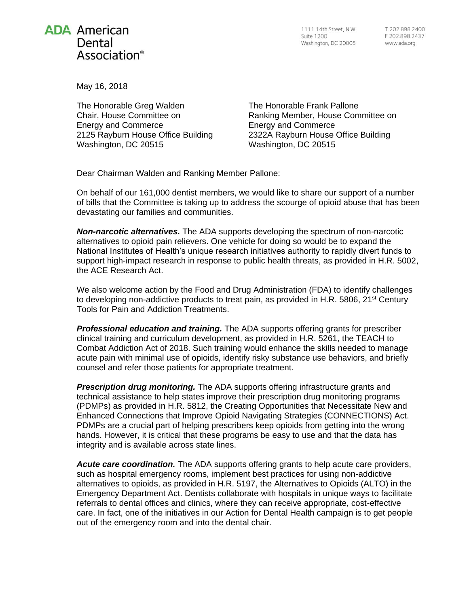## **ADA American** Dental Association<sup>®</sup>

1111 14th Street, N.W. Suite 1200 Washington, DC 20005

T 202 898 2400 F 202.898.2437 www.ada.org

May 16, 2018

The Honorable Greg Walden Chair, House Committee on Energy and Commerce 2125 Rayburn House Office Building Washington, DC 20515

The Honorable Frank Pallone Ranking Member, House Committee on Energy and Commerce 2322A Rayburn House Office Building Washington, DC 20515

Dear Chairman Walden and Ranking Member Pallone:

On behalf of our 161,000 dentist members, we would like to share our support of a number of bills that the Committee is taking up to address the scourge of opioid abuse that has been devastating our families and communities.

*Non-narcotic alternatives.* The ADA supports developing the spectrum of non-narcotic alternatives to opioid pain relievers. One vehicle for doing so would be to expand the National Institutes of Health's unique research initiatives authority to rapidly divert funds to support high-impact research in response to public health threats, as provided in H.R. 5002, the ACE Research Act.

We also welcome action by the Food and Drug Administration (FDA) to identify challenges to developing non-addictive products to treat pain, as provided in H.R. 5806, 21<sup>st</sup> Century Tools for Pain and Addiction Treatments.

*Professional education and training.* The ADA supports offering grants for prescriber clinical training and curriculum development, as provided in H.R. 5261, the TEACH to Combat Addiction Act of 2018. Such training would enhance the skills needed to manage acute pain with minimal use of opioids, identify risky substance use behaviors, and briefly counsel and refer those patients for appropriate treatment.

*Prescription drug monitoring.* The ADA supports offering infrastructure grants and technical assistance to help states improve their prescription drug monitoring programs (PDMPs) as provided in H.R. 5812, the Creating Opportunities that Necessitate New and Enhanced Connections that Improve Opioid Navigating Strategies (CONNECTIONS) Act. PDMPs are a crucial part of helping prescribers keep opioids from getting into the wrong hands. However, it is critical that these programs be easy to use and that the data has integrity and is available across state lines.

*Acute care coordination.* The ADA supports offering grants to help acute care providers, such as hospital emergency rooms, implement best practices for using non-addictive alternatives to opioids, as provided in H.R. 5197, the Alternatives to Opioids (ALTO) in the Emergency Department Act. Dentists collaborate with hospitals in unique ways to facilitate referrals to dental offices and clinics, where they can receive appropriate, cost-effective care. In fact, one of the initiatives in our Action for Dental Health campaign is to get people out of the emergency room and into the dental chair.